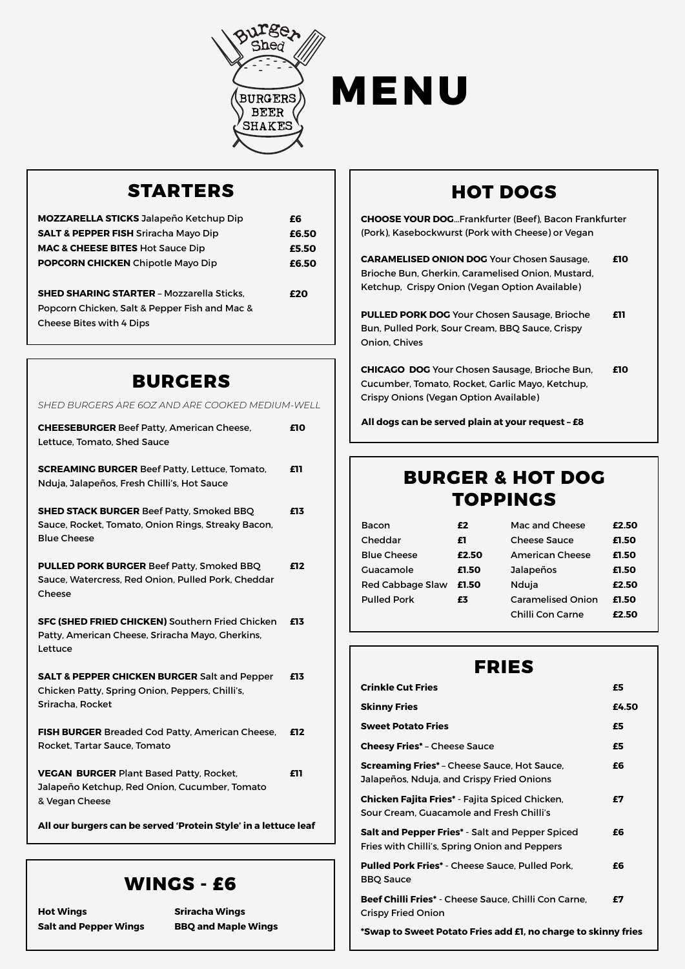



## **STARTERS**

| <b>MOZZARELLA STICKS Jalapeño Ketchup Dip</b>    | £6    |
|--------------------------------------------------|-------|
| <b>SALT &amp; PEPPER FISH Sriracha Mayo Dip</b>  | £6.50 |
| <b>MAC &amp; CHEESE BITES Hot Sauce Dip</b>      | £5.50 |
| <b>POPCORN CHICKEN</b> Chipotle Mayo Dip         | £6.50 |
|                                                  |       |
| <b>SHED SHARING STARTER - Mozzarella Sticks,</b> | f20   |
| Popcorn Chicken, Salt & Pepper Fish and Mac &    |       |
| <b>Cheese Bites with 4 Dips</b>                  |       |
|                                                  |       |

### **BURGERS**

| SHED BURGERS ARE 60Z AND ARE COOKED MEDIUM-WELL                                                                                |     |
|--------------------------------------------------------------------------------------------------------------------------------|-----|
| <b>CHEESEBURGER Beef Patty, American Cheese,</b><br>Lettuce, Tomato, Shed Sauce                                                | £10 |
| <b>SCREAMING BURGER Beef Patty, Lettuce, Tomato,</b><br>Nduja, Jalapeños, Fresh Chilli's, Hot Sauce                            | £11 |
| SHED STACK BURGER Beef Patty, Smoked BBQ<br>Sauce, Rocket, Tomato, Onion Rings, Streaky Bacon,<br><b>Blue Cheese</b>           | £13 |
| <b>PULLED PORK BURGER Beef Patty, Smoked BBQ</b><br>Sauce, Watercress, Red Onion, Pulled Pork, Cheddar<br>Cheese               | £12 |
| <b>SFC (SHED FRIED CHICKEN) Southern Fried Chicken</b><br>Patty, American Cheese, Sriracha Mayo, Gherkins,<br>Lettuce          | £13 |
| <b>SALT &amp; PEPPER CHICKEN BURGER Salt and Pepper</b><br>Chicken Patty, Spring Onion, Peppers, Chilli's,<br>Sriracha, Rocket | £13 |
| <b>FISH BURGER Breaded Cod Patty, American Cheese,</b><br>Rocket, Tartar Sauce, Tomato                                         | £12 |
| <b>VEGAN BURGER Plant Based Patty, Rocket,</b><br>Jalapeño Ketchup, Red Onion, Cucumber, Tomato<br>& Vegan Cheese              | £11 |
| All our burgers can be served 'Protein Style' in a lettuce leaf                                                                |     |

### **WINGS - £6**

**Hot Wings Salt and Pepper Wings** **Sriracha Wings** 

# **HOT DOGS**

**CHOOSE YOUR DOG**…Frankfurter (Beef), Bacon Frankfurter (Pork), Kasebockwurst (Pork with Cheese) or Vegan

**CARAMELISED ONION DOG** Your Chosen Sausage, Brioche Bun, Gherkin, Caramelised Onion, Mustard, Ketchup, Crispy Onion (Vegan Option Available) **£10**

**PULLED PORK DOG** Your Chosen Sausage, Brioche Bun, Pulled Pork, Sour Cream, BBQ Sauce, Crispy Onion, Chives **£11**

**CHICAGO DOG** Your Chosen Sausage, Brioche Bun, Cucumber, Tomato, Rocket, Garlic Mayo, Ketchup, Crispy Onions (Vegan Option Available) **£10**

**All dogs can be served plain at your request – £8**

## **BURGER & HOT DOG TOPPINGS**

| Bacon              | £2    | Mac and Cheese           | £2.50 |
|--------------------|-------|--------------------------|-------|
| Cheddar            | £1    | <b>Cheese Sauce</b>      | £1.50 |
| <b>Blue Cheese</b> | £2.50 | <b>American Cheese</b>   | £1.50 |
| Guacamole          | £1.50 | Jalapeños                | £1.50 |
| Red Cabbage Slaw   | £1.50 | Nduja                    | £2.50 |
| <b>Pulled Pork</b> | £3    | <b>Caramelised Onion</b> | £1.50 |
|                    |       | Chilli Con Carne         | £2.50 |

### **FRIES**

| <b>Crinkle Cut Fries</b>                                                                                | £5    |
|---------------------------------------------------------------------------------------------------------|-------|
| <b>Skinny Fries</b>                                                                                     | £4.50 |
| <b>Sweet Potato Fries</b>                                                                               | £5    |
| <b>Cheesy Fries* - Cheese Sauce</b>                                                                     | £5    |
| <b>Screaming Fries*</b> – Cheese Sauce, Hot Sauce,<br>Jalapeños, Nduja, and Crispy Fried Onions         | £6    |
| <b>Chicken Fajita Fries* - Fajita Spiced Chicken,</b><br>Sour Cream. Guacamole and Fresh Chilli's       | £7    |
| <b>Salt and Pepper Fries* - Salt and Pepper Spiced</b><br>Fries with Chilli's, Spring Onion and Peppers | £6    |
| <b>Pulled Pork Fries*</b> - Cheese Sauce, Pulled Pork.<br><b>BBQ Sauce</b>                              | £6    |
| Beef Chilli Fries* - Cheese Sauce, Chilli Con Carne,<br><b>Crispy Fried Onion</b>                       | £7    |

**BBQ and Maple Wings \*Swap to Sweet Potato Fries add £1, no charge to skinny fries**